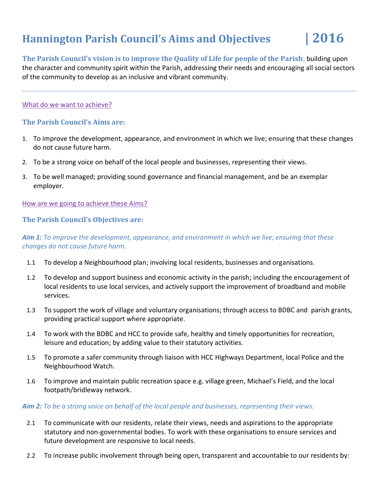# **Hannington Parish Council's Aims and Objectives | 2016**

**The Parish Council's vision is to improve the Quality of Life for people of the Parish**; building upon the character and community spirit within the Parish, addressing their needs and encouraging all social sectors of the community to develop as an inclusive and vibrant community.

#### What do we want to achieve?

## **The Parish Council's Aims are:**

- 1. To improve the development, appearance, and environment in which we live; ensuring that these changes do not cause future harm.
- 2. To be a strong voice on behalf of the local people and businesses, representing their views.
- 3. To be well managed; providing sound governance and financial management, and be an exemplar employer.

How are we going to achieve these Aims?

### **The Parish Council's Objectives are:**

# *Aim 1: To improve the development, appearance, and environment in which we live; ensuring that these changes do not cause future harm.*

- 1.1 To develop a Neighbourhood plan; involving local residents, businesses and organisations.
- 1.2 To develop and support business and economic activity in the parish; including the encouragement of local residents to use local services, and actively support the improvement of broadband and mobile services.
- 1.3 To support the work of village and voluntary organisations; through access to BDBC and parish grants, providing practical support where appropriate.
- 1.4 To work with the BDBC and HCC to provide safe, healthy and timely opportunities for recreation, leisure and education; by adding value to their statutory activities.
- 1.5 To promote a safer community through liaison with HCC Highways Department, local Police and the Neighbourhood Watch.
- 1.6 To improve and maintain public recreation space e.g. village green, Michael's Field, and the local footpath/bridleway network.

#### *Aim 2: To be a strong voice on behalf of the local people and businesses, representing their views.*

- 2.1 To communicate with our residents, relate their views, needs and aspirations to the appropriate statutory and non-governmental bodies. To work with these organisations to ensure services and future development are responsive to local needs.
- 2.2 To increase public involvement through being open, transparent and accountable to our residents by: